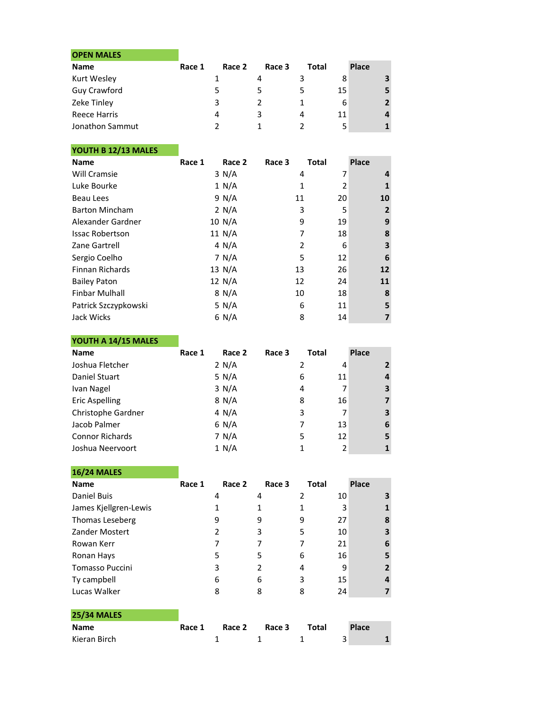| <b>OPEN MALES</b> |        |        |        |       |    |                |
|-------------------|--------|--------|--------|-------|----|----------------|
| <b>Name</b>       | Race 1 | Race 2 | Race 3 | Total |    | Place          |
| Kurt Wesley       |        |        |        |       |    |                |
| Guy Crawford      |        | 5      |        |       | 15 |                |
| Zeke Tinley       |        | 3      |        |       | 6  | $\overline{2}$ |
| Reece Harris      |        | 4      | 3      | 4     |    |                |
| Jonathon Sammut   |        |        |        |       |    |                |

## YOUTH B 12/13 MALES

| <b>Name</b>            | Race 1 | Race 2   | Race 3         | <b>Total</b> | Place          |
|------------------------|--------|----------|----------------|--------------|----------------|
| Will Cramsie           |        | 3 N/A    | 4              | 7            | 4              |
| Luke Bourke            |        | 1 N/A    | 1              | 2            | $\mathbf{1}$   |
| Beau Lees              |        | 9 N/A    | 11             | 20           | 10             |
| <b>Barton Mincham</b>  |        | 2 N/A    | 3              | 5            | $\overline{2}$ |
| Alexander Gardner      |        | 10 N/A   | 9              | 19           | 9              |
| <b>Issac Robertson</b> |        | 11 N/A   | 7              | 18           | 8              |
| Zane Gartrell          |        | 4 N/A    | $\overline{2}$ | 6            | 3              |
| Sergio Coelho          |        | 7 N/A    | 5              | 12           | 6              |
| <b>Finnan Richards</b> |        | 13 N/A   | 13             | 26           | 12             |
| <b>Bailey Paton</b>    |        | 12 $N/A$ | 12             | 24           | 11             |
| <b>Finbar Mulhall</b>  |        | 8 N/A    | 10             | 18           | 8              |
| Patrick Szczypkowski   |        | 5 N/A    | 6              | 11           | 5              |
| Jack Wicks             |        | 6 N/A    | 8              | 14           | 7              |

## YOUTH A 14/15 MALES

| <b>Name</b>            | Race 1 | Race 2 | Race 3 | Total |    | Place          |
|------------------------|--------|--------|--------|-------|----|----------------|
| Joshua Fletcher        |        | 2 N/A  |        | 2     |    | $\overline{2}$ |
| Daniel Stuart          |        | 5 N/A  |        | 6     | 11 | 4              |
| Ivan Nagel             |        | 3 N/A  |        | 4     |    | 3              |
| <b>Eric Aspelling</b>  |        | 8 N/A  |        | 8     | 16 | 7              |
| Christophe Gardner     |        | 4 N/A  |        | 3     |    | 3              |
| Jacob Palmer           |        | 6 N/A  |        | 7     | 13 | 6              |
| <b>Connor Richards</b> |        | 7 N/A  |        | 5     | 12 | 5              |
| Joshua Neervoort       |        | 1 N/A  |        |       |    |                |

| <b>16/24 MALES</b>     |        |        |        |                |    |                |
|------------------------|--------|--------|--------|----------------|----|----------------|
| <b>Name</b>            | Race 1 | Race 2 | Race 3 | <b>Total</b>   |    | Place          |
| Daniel Buis            |        | 4      | 4      | $\overline{2}$ | 10 | 3              |
| James Kjellgren-Lewis  |        | 1      | 1      | 1              | 3  | 1              |
| Thomas Leseberg        |        | 9      | 9      | 9              | 27 | 8              |
| Zander Mostert         |        | 2      | 3      | 5              | 10 | 3              |
| Rowan Kerr             |        | 7      | 7      | 7              | 21 | 6              |
| Ronan Hays             |        | 5      | 5      | 6              | 16 | 5              |
| <b>Tomasso Puccini</b> |        | 3      | 2      | 4              | 9  | $\overline{2}$ |
| Ty campbell            |        | 6      | 6      | 3              | 15 | 4              |
| Lucas Walker           |        | 8      | 8      | 8              | 24 | 7              |
|                        |        |        |        |                |    |                |
| <b>25/34 MALES</b>     |        |        |        |                |    |                |
| Name                   | Race 1 | Race 2 | Race 3 | Total          |    | <b>Place</b>   |
| Kieran Birch           |        | 1      | 1      |                | 3  |                |